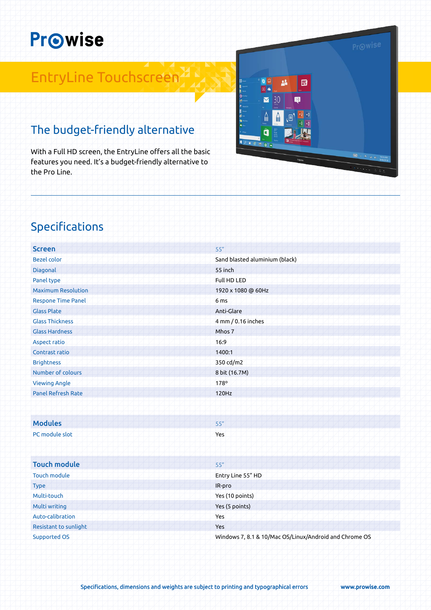# **Prowise**

## EntryLine Touchscreen

### The budget-friendly alternative

With a Full HD screen, the EntryLine offers all the basic features you need. It's a budget-friendly alternative to the Pro Line.

Specifications

| <b>Screen</b>             | 55"                                                    |
|---------------------------|--------------------------------------------------------|
| <b>Bezel color</b>        | Sand blasted aluminium (black)                         |
| Diagonal                  | 55 inch                                                |
| Panel type                | Full HD LED                                            |
| <b>Maximum Resolution</b> | 1920 x 1080 @ 60Hz                                     |
| <b>Respone Time Panel</b> | 6 <sub>ms</sub>                                        |
| <b>Glass Plate</b>        | Anti-Glare                                             |
| <b>Glass Thickness</b>    | 4 mm / 0.16 inches                                     |
| <b>Glass Hardness</b>     | Mhos 7                                                 |
| <b>Aspect ratio</b>       | 16:9                                                   |
| Contrast ratio            | 1400:1                                                 |
| <b>Brightness</b>         | 350 cd/m2                                              |
| Number of colours         | 8 bit (16.7M)                                          |
| <b>Viewing Angle</b>      | 178°                                                   |
| <b>Panel Refresh Rate</b> | 120Hz                                                  |
|                           |                                                        |
| <b>Modules</b>            | 55"                                                    |
| PC module slot            | Yes                                                    |
|                           |                                                        |
|                           |                                                        |
| <b>Touch module</b>       | 55"                                                    |
| <b>Touch module</b>       | Entry Line 55" HD                                      |
| <b>Type</b>               | IR-pro                                                 |
| Multi-touch               | Yes (10 points)                                        |
| Multi writing             | Yes (5 points)                                         |
| Auto-calibration          | Yes                                                    |
| Resistant to sunlight     | Yes                                                    |
| <b>Supported OS</b>       | Windows 7, 8.1 & 10/Mac OS/Linux/Android and Chrome OS |